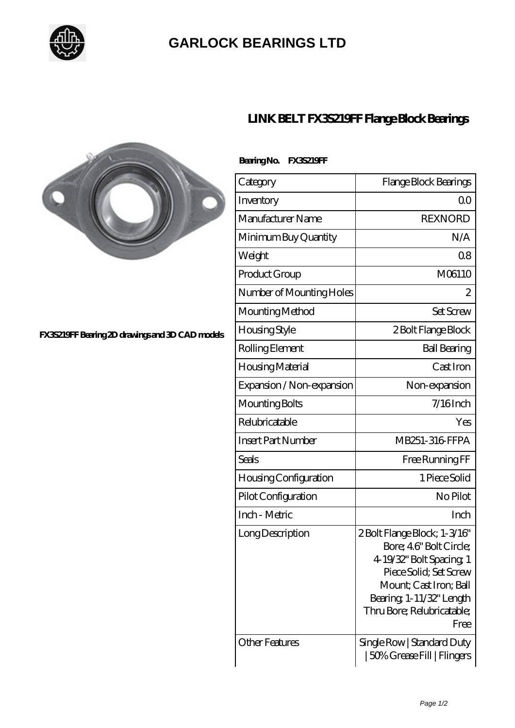

## **[GARLOCK BEARINGS LTD](https://m.letterstopriests.com)**



**[FX3S219FF Bearing 2D drawings and 3D CAD models](https://m.letterstopriests.com/pic-188703.html)**

## **[LINK BELT FX3S219FF Flange Block Bearings](https://m.letterstopriests.com/be-188703-link-belt-fx3s219ff-flange-block-bearings.html)**

| Bearing No. | <b>FX35219FF</b> |
|-------------|------------------|
|             |                  |

| Category                  | Flange Block Bearings                                                                                                                                                                                  |
|---------------------------|--------------------------------------------------------------------------------------------------------------------------------------------------------------------------------------------------------|
| Inventory                 | Q0                                                                                                                                                                                                     |
| Manufacturer Name         | <b>REXNORD</b>                                                                                                                                                                                         |
| Minimum Buy Quantity      | N/A                                                                                                                                                                                                    |
| Weight                    | 08                                                                                                                                                                                                     |
| Product Group             | M06110                                                                                                                                                                                                 |
| Number of Mounting Holes  | 2                                                                                                                                                                                                      |
| Mounting Method           | <b>Set Screw</b>                                                                                                                                                                                       |
| Housing Style             | 2 Bolt Flange Block                                                                                                                                                                                    |
| Rolling Element           | <b>Ball Bearing</b>                                                                                                                                                                                    |
| Housing Material          | Cast Iron                                                                                                                                                                                              |
| Expansion / Non-expansion | Non-expansion                                                                                                                                                                                          |
| Mounting Bolts            | $7/16$ Inch                                                                                                                                                                                            |
| Relubricatable            | Yes                                                                                                                                                                                                    |
| <b>Insert Part Number</b> | MB251-316 FFPA                                                                                                                                                                                         |
| Seals                     | Free Running FF                                                                                                                                                                                        |
| Housing Configuration     | 1 Piece Solid                                                                                                                                                                                          |
| Pilot Configuration       | No Pilot                                                                                                                                                                                               |
| Inch - Metric             | Inch                                                                                                                                                                                                   |
| Long Description          | 2Bolt Flange Block; 1-3/16"<br>Bore; 46" Bolt Circle;<br>4 19/32" Bolt Spacing 1<br>Piece Solid; Set Screw<br>Mount; Cast Iron; Ball<br>Bearing, 1-11/32" Length<br>Thru Bore; Relubricatable;<br>Free |
| <b>Other Features</b>     | Single Row   Standard Duty<br>  50% Grease Fill   Flingers                                                                                                                                             |